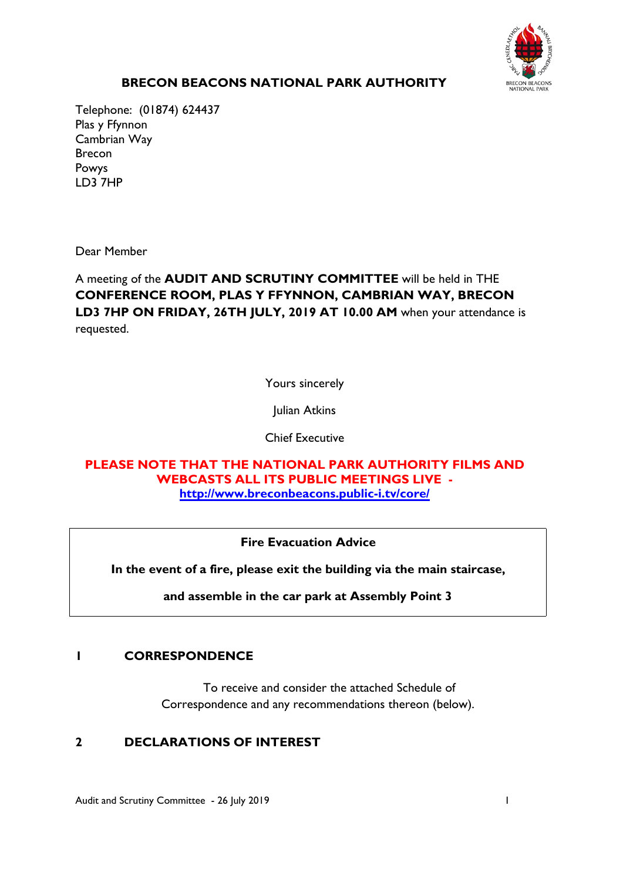

# **BRECON BEACONS NATIONAL PARK AUTHORITY**

Telephone: (01874) 624437 Plas y Ffynnon Cambrian Way Brecon Powys LD3 7HP

Dear Member

A meeting of the **AUDIT AND SCRUTINY COMMITTEE** will be held in THE **CONFERENCE ROOM, PLAS Y FFYNNON, CAMBRIAN WAY, BRECON LD3 7HP ON FRIDAY, 26TH JULY, 2019 AT 10.00 AM** when your attendance is requested.

Yours sincerely

Julian Atkins

Chief Executive

**PLEASE NOTE THAT THE NATIONAL PARK AUTHORITY FILMS AND WEBCASTS ALL ITS PUBLIC MEETINGS LIVE <http://www.breconbeacons.public-i.tv/core/>**

**Fire Evacuation Advice**

**In the event of a fire, please exit the building via the main staircase,**

**and assemble in the car park at Assembly Point 3**

## **1 CORRESPONDENCE**

To receive and consider the attached Schedule of Correspondence and any recommendations thereon (below).

## **2 DECLARATIONS OF INTEREST**

Audit and Scrutiny Committee - 26 July 2019 1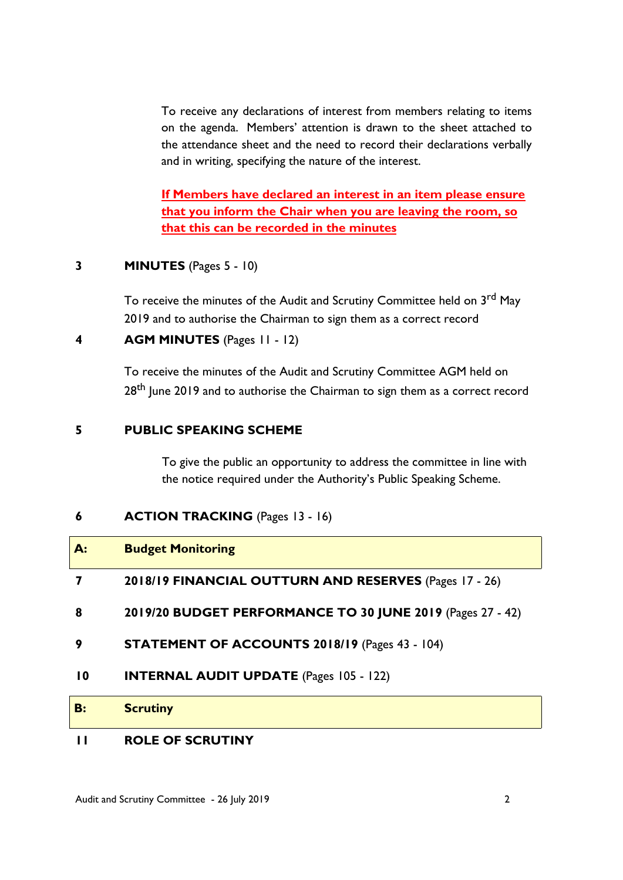To receive any declarations of interest from members relating to items on the agenda. Members' attention is drawn to the sheet attached to the attendance sheet and the need to record their declarations verbally and in writing, specifying the nature of the interest.

**If Members have declared an interest in an item please ensure that you inform the Chair when you are leaving the room, so that this can be recorded in the minutes**

#### **3 MINUTES** (Pages 5 - 10)

To receive the minutes of the Audit and Scrutiny Committee held on 3<sup>rd</sup> May 2019 and to authorise the Chairman to sign them as a correct record

#### **4 AGM MINUTES** (Pages 11 - 12)

To receive the minutes of the Audit and Scrutiny Committee AGM held on 28<sup>th</sup> June 2019 and to authorise the Chairman to sign them as a correct record

#### **5 PUBLIC SPEAKING SCHEME**

To give the public an opportunity to address the committee in line with the notice required under the Authority's Public Speaking Scheme.

## **6 ACTION TRACKING** (Pages 13 - 16)

| $A$ :           | <b>Budget Monitoring</b>                                   |
|-----------------|------------------------------------------------------------|
|                 | 2018/19 FINANCIAL OUTTURN AND RESERVES (Pages 17 - 26)     |
| 8               | 2019/20 BUDGET PERFORMANCE TO 30 JUNE 2019 (Pages 27 - 42) |
| 9               | STATEMENT OF ACCOUNTS 2018/19 (Pages 43 - 104)             |
| $\overline{10}$ | <b>INTERNAL AUDIT UPDATE (Pages 105 - 122)</b>             |
| <b>B:</b>       | <b>Scrutiny</b>                                            |
|                 |                                                            |

## **11 ROLE OF SCRUTINY**